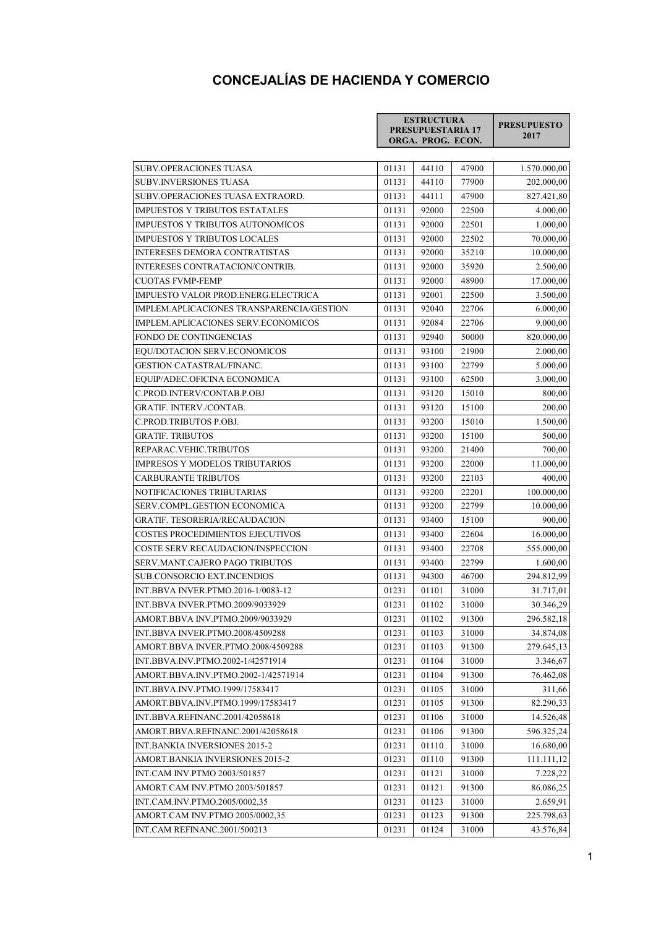## CONCEJALÍAS DE HACIENDA Y COMERCIO

| <b>ESTRUCTURA</b>        | <b>PRESUPUESTO</b> |
|--------------------------|--------------------|
| <b>PRESUPUESTARIA 17</b> | 2017               |
| ORGA. PROG. ECON.        |                    |

|                                                                |                | 44110          | 47900          |                          |
|----------------------------------------------------------------|----------------|----------------|----------------|--------------------------|
| <b>SUBV.OPERACIONES TUASA</b><br><b>SUBV.INVERSIONES TUASA</b> | 01131<br>01131 | 44110          | 77900          | 1.570.000,00             |
| SUBV.OPERACIONES TUASA EXTRAORD.                               | 01131          | 44111          | 47900          | 202.000,00<br>827.421,80 |
| IMPUESTOS Y TRIBUTOS ESTATALES                                 | 01131          | 92000          | 22500          | 4.000,00                 |
| IMPUESTOS Y TRIBUTOS AUTONOMICOS                               | 01131          | 92000          | 22501          | 1.000,00                 |
| <b>IMPUESTOS Y TRIBUTOS LOCALES</b>                            | 01131          | 92000          | 22502          | 70.000,00                |
| <b>INTERESES DEMORA CONTRATISTAS</b>                           | 01131          | 92000          |                | 10.000,00                |
| INTERESES CONTRATACION/CONTRIB.                                | 01131          | 92000          | 35210<br>35920 | 2.500,00                 |
| <b>CUOTAS FVMP-FEMP</b>                                        | 01131          | 92000          | 48900          | 17.000,00                |
| IMPUESTO VALOR PROD.ENERG.ELECTRICA                            | 01131          | 92001          | 22500          |                          |
| IMPLEM.APLICACIONES TRANSPARENCIA/GESTION                      | 01131          | 92040          | 22706          | 3.500,00<br>6.000,00     |
| IMPLEM.APLICACIONES SERV.ECONOMICOS                            | 01131          | 92084          | 22706          |                          |
| FONDO DE CONTINGENCIAS                                         | 01131          | 92940          | 50000          | 9.000,00                 |
|                                                                |                |                |                | 820.000,00               |
| EQU/DOTACION SERV.ECONOMICOS                                   | 01131          | 93100          | 21900          | 2.000,00                 |
| <b>GESTION CATASTRAL/FINANC.</b>                               | 01131          | 93100          | 22799          | 5.000,00                 |
| EQUIP/ADEC.OFICINA ECONOMICA<br>C.PROD.INTERV/CONTAB.P.OBJ     | 01131          | 93100          | 62500          | 3.000,00                 |
|                                                                | 01131          | 93120          | 15010          | 800,00                   |
| <b>GRATIF. INTERV./CONTAB.</b>                                 | 01131          | 93120          | 15100          | 200,00                   |
| C.PROD.TRIBUTOS P.OBJ.<br><b>GRATIF. TRIBUTOS</b>              | 01131          | 93200          | 15010          | 1.500,00<br>500,00       |
| REPARAC.VEHIC.TRIBUTOS                                         | 01131          | 93200          | 15100          | 700,00                   |
|                                                                | 01131          | 93200<br>93200 | 21400          | 11.000,00                |
| <b>IMPRESOS Y MODELOS TRIBUTARIOS</b>                          | 01131          |                | 22000          |                          |
| <b>CARBURANTE TRIBUTOS</b>                                     | 01131          | 93200          | 22103          | 400,00                   |
| NOTIFICACIONES TRIBUTARIAS                                     | 01131          | 93200          | 22201          | 100.000,00               |
| SERV.COMPL.GESTION ECONOMICA                                   | 01131          | 93200          | 22799          | 10.000,00                |
| <b>GRATIF. TESORERIA/RECAUDACION</b>                           | 01131          | 93400          | 15100          | 900,00                   |
| <b>COSTES PROCEDIMIENTOS EJECUTIVOS</b>                        | 01131          | 93400          | 22604          | 16.000,00                |
| COSTE SERV.RECAUDACION/INSPECCION                              | 01131          | 93400          | 22708          | 555.000,00               |
| SERV.MANT.CAJERO PAGO TRIBUTOS                                 | 01131          | 93400          | 22799          | 1.600,00                 |
| <b>SUB.CONSORCIO EXT.INCENDIOS</b>                             | 01131          | 94300          | 46700          | 294.812,99               |
| INT.BBVA INVER.PTMO.2016-1/0083-12                             | 01231          | 01101          | 31000          | 31.717,01                |
| INT.BBVA INVER.PTMO.2009/9033929                               | 01231          | 01102          | 31000          | 30.346,29                |
| AMORT.BBVA INV.PTMO.2009/9033929                               | 01231          | 01102          | 91300          | 296.582,18               |
| INT.BBVA INVER.PTMO.2008/4509288                               | 01231          | 01103          | 31000          | 34.874,08                |
| AMORT.BBVA INVER.PTMO.2008/4509288                             | 01231          | 01103          | 91300          | 279.645,13               |
| INT.BBVA.INV.PTMO.2002-1/42571914                              | 01231          | 01104          | 31000          | 3.346,67                 |
| AMORT.BBVA.INV.PTMO.2002-1/42571914                            | 01231          | 01104          | 91300          | 76.462,08                |
| INT.BBVA.INV.PTMO.1999/17583417                                | 01231          | 01105          | 31000          | 311,66                   |
| AMORT.BBVA.INV.PTMO.1999/17583417                              | 01231          | 01105          | 91300          | 82.290,33                |
| INT.BBVA.REFINANC.2001/42058618                                | 01231          | 01106          | 31000          | 14.526,48                |
| AMORT.BBVA.REFINANC.2001/42058618                              | 01231          | 01106          | 91300          | 596.325,24               |
| INT.BANKIA INVERSIONES 2015-2                                  | 01231          | 01110          | 31000          | 16.680,00                |
| AMORT.BANKIA INVERSIONES 2015-2                                | 01231          | 01110          | 91300          | 111.111,12               |
| INT.CAM INV.PTMO 2003/501857                                   | 01231          | 01121          | 31000          | 7.228,22                 |
| AMORT.CAM INV.PTMO 2003/501857                                 | 01231          | 01121          | 91300          | 86.086,25                |
| INT.CAM.INV.PTMO.2005/0002,35                                  | 01231          | 01123          | 31000          | 2.659,91                 |
| AMORT.CAM INV.PTMO 2005/0002,35                                | 01231          | 01123          | 91300          | 225.798,63               |
| INT.CAM REFINANC.2001/500213                                   | 01231          | 01124          | 31000          | 43.576,84                |